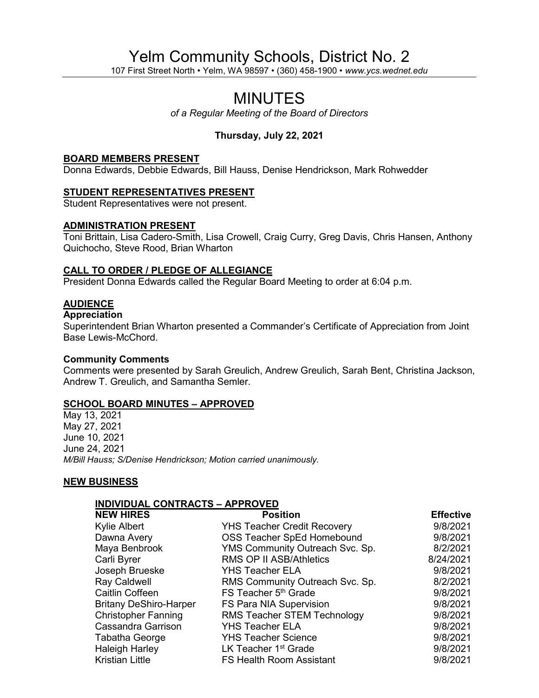# Yelm Community Schools, District No. 2

107 First Street North • Yelm, WA 98597 • (360) 458-1900 • *www.ycs.wednet.edu*

# MINUTES

*of a Regular Meeting of the Board of Directors*

# **Thursday, July 22, 2021**

#### **BOARD MEMBERS PRESENT**

Donna Edwards, Debbie Edwards, Bill Hauss, Denise Hendrickson, Mark Rohwedder

#### **STUDENT REPRESENTATIVES PRESENT**

Student Representatives were not present.

#### **ADMINISTRATION PRESENT**

Toni Brittain, Lisa Cadero-Smith, Lisa Crowell, Craig Curry, Greg Davis, Chris Hansen, Anthony Quichocho, Steve Rood, Brian Wharton

#### **CALL TO ORDER / PLEDGE OF ALLEGIANCE**

President Donna Edwards called the Regular Board Meeting to order at 6:04 p.m.

## **AUDIENCE**

# **Appreciation**

Superintendent Brian Wharton presented a Commander's Certificate of Appreciation from Joint Base Lewis-McChord.

#### **Community Comments**

Comments were presented by Sarah Greulich, Andrew Greulich, Sarah Bent, Christina Jackson, Andrew T. Greulich, and Samantha Semler.

## **SCHOOL BOARD MINUTES – APPROVED**

May 13, 2021 May 27, 2021 June 10, 2021 June 24, 2021 *M/Bill Hauss; S/Denise Hendrickson; Motion carried unanimously.*

#### **NEW BUSINESS**

#### **INDIVIDUAL CONTRACTS – APPROVED**

| <b>NEW HIRES</b>              | <b>Position</b>                    | <b>Effective</b> |
|-------------------------------|------------------------------------|------------------|
| Kylie Albert                  | <b>YHS Teacher Credit Recovery</b> | 9/8/2021         |
| Dawna Avery                   | <b>OSS Teacher SpEd Homebound</b>  | 9/8/2021         |
| Maya Benbrook                 | YMS Community Outreach Svc. Sp.    | 8/2/2021         |
| Carli Byrer                   | RMS OP II ASB/Athletics            | 8/24/2021        |
| Joseph Brueske                | <b>YHS Teacher ELA</b>             | 9/8/2021         |
| Ray Caldwell                  | RMS Community Outreach Svc. Sp.    | 8/2/2021         |
| <b>Caitlin Coffeen</b>        | FS Teacher 5 <sup>th</sup> Grade   | 9/8/2021         |
| <b>Britany DeShiro-Harper</b> | FS Para NIA Supervision            | 9/8/2021         |
| <b>Christopher Fanning</b>    | <b>RMS Teacher STEM Technology</b> | 9/8/2021         |
| Cassandra Garrison            | <b>YHS Teacher ELA</b>             | 9/8/2021         |
| Tabatha George                | <b>YHS Teacher Science</b>         | 9/8/2021         |
| <b>Haleigh Harley</b>         | LK Teacher 1 <sup>st</sup> Grade   | 9/8/2021         |
| <b>Kristian Little</b>        | <b>FS Health Room Assistant</b>    | 9/8/2021         |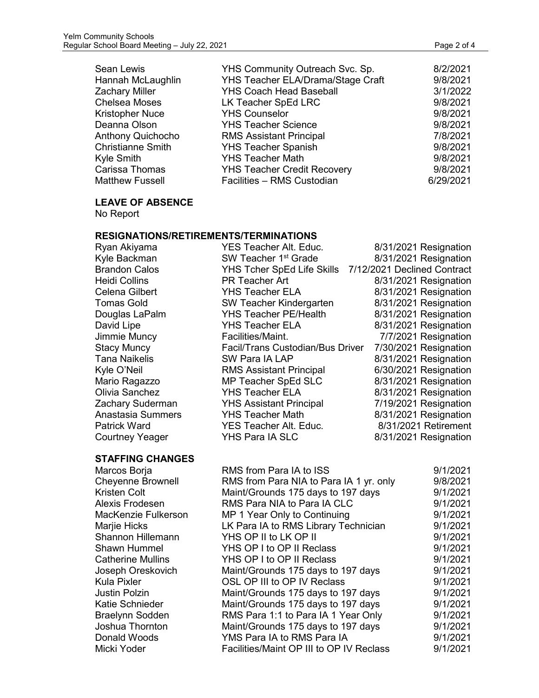| Sean Lewis               | YHS Community Outreach Svc. Sp.    | 8/2/2021  |
|--------------------------|------------------------------------|-----------|
| Hannah McLaughlin        | YHS Teacher ELA/Drama/Stage Craft  | 9/8/2021  |
| Zachary Miller           | <b>YHS Coach Head Baseball</b>     | 3/1/2022  |
| Chelsea Moses            | LK Teacher SpEd LRC                | 9/8/2021  |
| Kristopher Nuce          | <b>YHS Counselor</b>               | 9/8/2021  |
| Deanna Olson             | <b>YHS Teacher Science</b>         | 9/8/2021  |
| Anthony Quichocho        | <b>RMS Assistant Principal</b>     | 7/8/2021  |
| <b>Christianne Smith</b> | <b>YHS Teacher Spanish</b>         | 9/8/2021  |
| Kyle Smith               | <b>YHS Teacher Math</b>            | 9/8/2021  |
| Carissa Thomas           | <b>YHS Teacher Credit Recovery</b> | 9/8/2021  |
| Matthew Fussell          | Facilities - RMS Custodian         | 6/29/2021 |
|                          |                                    |           |

**LEAVE OF ABSENCE**

No Report

# **RESIGNATIONS/RETIREMENTS/TERMINATIONS**

| Ryan Akiyama                                    | <b>YES Teacher Alt. Educ.</b>                                                 | 8/31/2021 Resignation       |
|-------------------------------------------------|-------------------------------------------------------------------------------|-----------------------------|
| Kyle Backman                                    | SW Teacher 1 <sup>st</sup> Grade                                              | 8/31/2021 Resignation       |
| <b>Brandon Calos</b>                            | <b>YHS Tcher SpEd Life Skills</b>                                             | 7/12/2021 Declined Contract |
| <b>Heidi Collins</b>                            | <b>PR Teacher Art</b>                                                         | 8/31/2021 Resignation       |
| <b>Celena Gilbert</b>                           | <b>YHS Teacher ELA</b>                                                        | 8/31/2021 Resignation       |
| <b>Tomas Gold</b>                               | SW Teacher Kindergarten                                                       | 8/31/2021 Resignation       |
| Douglas LaPalm                                  | <b>YHS Teacher PE/Health</b>                                                  | 8/31/2021 Resignation       |
| David Lipe                                      | <b>YHS Teacher ELA</b>                                                        | 8/31/2021 Resignation       |
| Jimmie Muncy                                    | Facilities/Maint.                                                             | 7/7/2021 Resignation        |
| <b>Stacy Muncy</b>                              | Facil/Trans Custodian/Bus Driver                                              | 7/30/2021 Resignation       |
| <b>Tana Naikelis</b>                            | SW Para IA LAP                                                                | 8/31/2021 Resignation       |
| Kyle O'Neil                                     | <b>RMS Assistant Principal</b>                                                | 6/30/2021 Resignation       |
| Mario Ragazzo                                   | MP Teacher SpEd SLC                                                           | 8/31/2021 Resignation       |
| Olivia Sanchez                                  | <b>YHS Teacher ELA</b>                                                        | 8/31/2021 Resignation       |
| Zachary Suderman                                | <b>YHS Assistant Principal</b>                                                | 7/19/2021 Resignation       |
| <b>Anastasia Summers</b>                        | <b>YHS Teacher Math</b>                                                       | 8/31/2021 Resignation       |
| <b>Patrick Ward</b>                             | <b>YES Teacher Alt. Educ.</b>                                                 | 8/31/2021 Retirement        |
| <b>Courtney Yeager</b>                          | YHS Para IA SLC                                                               | 8/31/2021 Resignation       |
|                                                 |                                                                               |                             |
| <b>STAFFING CHANGES</b>                         |                                                                               |                             |
|                                                 | RMS from Para IA to ISS                                                       | 9/1/2021                    |
| Marcos Borja                                    |                                                                               | 9/8/2021                    |
| <b>Cheyenne Brownell</b><br><b>Kristen Colt</b> | RMS from Para NIA to Para IA 1 yr. only<br>Maint/Grounds 175 days to 197 days | 9/1/2021                    |
| Alexis Frodesen                                 | RMS Para NIA to Para IA CLC                                                   | 9/1/2021                    |
| MacKenzie Fulkerson                             |                                                                               | 9/1/2021                    |
|                                                 | MP 1 Year Only to Continuing<br>LK Para IA to RMS Library Technician          | 9/1/2021                    |
| Marjie Hicks<br><b>Shannon Hillemann</b>        | YHS OP II to LK OP II                                                         | 9/1/2021                    |
| <b>Shawn Hummel</b>                             | YHS OP I to OP II Reclass                                                     | 9/1/2021                    |
| <b>Catherine Mullins</b>                        | YHS OP I to OP II Reclass                                                     | 9/1/2021                    |
| Joseph Oreskovich                               | Maint/Grounds 175 days to 197 days                                            | 9/1/2021                    |
| <b>Kula Pixler</b>                              | OSL OP III to OP IV Reclass                                                   | 9/1/2021                    |
| <b>Justin Polzin</b>                            | Maint/Grounds 175 days to 197 days                                            | 9/1/2021                    |
| <b>Katie Schnieder</b>                          | Maint/Grounds 175 days to 197 days                                            | 9/1/2021                    |
| <b>Braelynn Sodden</b>                          | RMS Para 1:1 to Para IA 1 Year Only                                           | 9/1/2021                    |
| Joshua Thornton                                 | Maint/Grounds 175 days to 197 days                                            | 9/1/2021                    |
| Donald Woods                                    | YMS Para IA to RMS Para IA                                                    | 9/1/2021                    |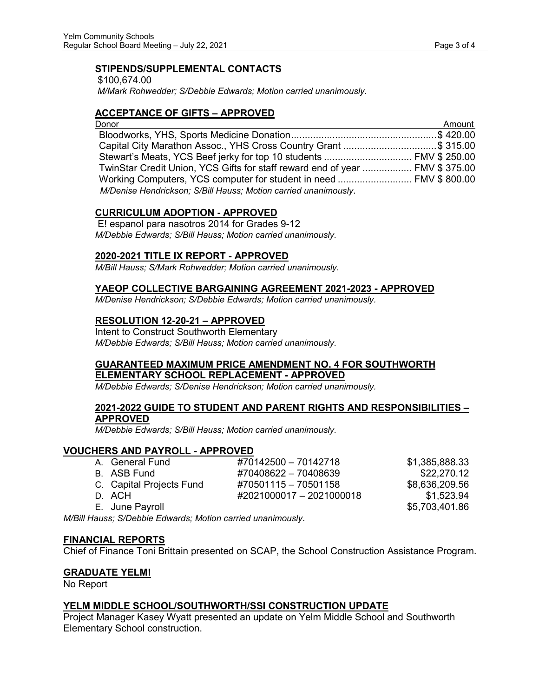## **STIPENDS/SUPPLEMENTAL CONTACTS**

\$100,674.00 *M/Mark Rohwedder; S/Debbie Edwards; Motion carried unanimously.*

# **ACCEPTANCE OF GIFTS – APPROVED**

| Donor                                                                        | Amount |
|------------------------------------------------------------------------------|--------|
|                                                                              |        |
| Capital City Marathon Assoc., YHS Cross Country Grant \$ 315.00              |        |
|                                                                              |        |
| TwinStar Credit Union, YCS Gifts for staff reward end of year  FMV \$ 375.00 |        |
|                                                                              |        |
| M/Denise Hendrickson; S/Bill Hauss; Motion carried unanimously.              |        |

## **CURRICULUM ADOPTION - APPROVED**

E! espanol para nasotros 2014 for Grades 9-12 *M/Debbie Edwards; S/Bill Hauss; Motion carried unanimously.*

## **2020-2021 TITLE IX REPORT - APPROVED**

*M/Bill Hauss; S/Mark Rohwedder; Motion carried unanimously.*

#### **YAEOP COLLECTIVE BARGAINING AGREEMENT 2021-2023 - APPROVED**

*M/Denise Hendrickson; S/Debbie Edwards; Motion carried unanimously.*

# **RESOLUTION 12-20-21 – APPROVED**

Intent to Construct Southworth Elementary *M/Debbie Edwards; S/Bill Hauss; Motion carried unanimously.*

## **GUARANTEED MAXIMUM PRICE AMENDMENT NO. 4 FOR SOUTHWORTH ELEMENTARY SCHOOL REPLACEMENT - APPROVED**

*M/Debbie Edwards; S/Denise Hendrickson; Motion carried unanimously.*

#### **2021-2022 GUIDE TO STUDENT AND PARENT RIGHTS AND RESPONSIBILITIES – APPROVED**

*M/Debbie Edwards; S/Bill Hauss; Motion carried unanimously.*

#### **VOUCHERS AND PAYROLL - APPROVED**

|                                                                                                                | A. General Fund          | #70142500 - 70142718     | \$1,385,888.33 |
|----------------------------------------------------------------------------------------------------------------|--------------------------|--------------------------|----------------|
|                                                                                                                | B. ASB Fund              | #70408622 - 70408639     | \$22,270.12    |
|                                                                                                                | C. Capital Projects Fund | #70501115 - 70501158     | \$8,636,209.56 |
|                                                                                                                | D. ACH                   | #2021000017 - 2021000018 | \$1.523.94     |
|                                                                                                                | E. June Payroll          |                          | \$5,703,401.86 |
| Is respected to the Latin College of the first construction of the second control of the second control of the |                          |                          |                |

*M/Bill Hauss; S/Debbie Edwards; Motion carried unanimously*.

#### **FINANCIAL REPORTS**

Chief of Finance Toni Brittain presented on SCAP, the School Construction Assistance Program.

#### **GRADUATE YELM!**

No Report

# **YELM MIDDLE SCHOOL/SOUTHWORTH/SSI CONSTRUCTION UPDATE**

Project Manager Kasey Wyatt presented an update on Yelm Middle School and Southworth Elementary School construction.